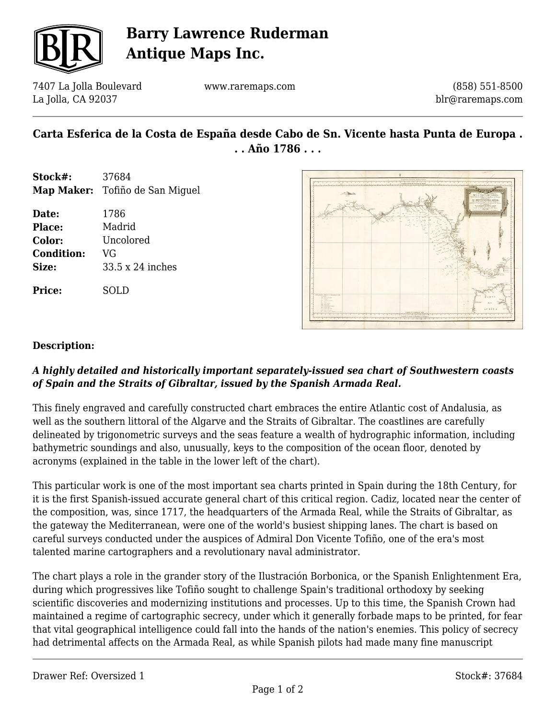

# **Barry Lawrence Ruderman Antique Maps Inc.**

7407 La Jolla Boulevard La Jolla, CA 92037

www.raremaps.com

(858) 551-8500 blr@raremaps.com

## **Carta Esferica de la Costa de España desde Cabo de Sn. Vicente hasta Punta de Europa . . . Año 1786 . . .**

- **Stock#:** 37684 **Map Maker:** Tofiño de San Miguel
- **Date:** 1786 **Place:** Madrid **Color:** Uncolored **Condition:** VG **Size:** 33.5 x 24 inches

**Price:** SOLD



### **Description:**

### *A highly detailed and historically important separately-issued sea chart of Southwestern coasts of Spain and the Straits of Gibraltar, issued by the Spanish Armada Real.*

This finely engraved and carefully constructed chart embraces the entire Atlantic cost of Andalusia, as well as the southern littoral of the Algarve and the Straits of Gibraltar. The coastlines are carefully delineated by trigonometric surveys and the seas feature a wealth of hydrographic information, including bathymetric soundings and also, unusually, keys to the composition of the ocean floor, denoted by acronyms (explained in the table in the lower left of the chart).

This particular work is one of the most important sea charts printed in Spain during the 18th Century, for it is the first Spanish-issued accurate general chart of this critical region. Cadiz, located near the center of the composition, was, since 1717, the headquarters of the Armada Real, while the Straits of Gibraltar, as the gateway the Mediterranean, were one of the world's busiest shipping lanes. The chart is based on careful surveys conducted under the auspices of Admiral Don Vicente Tofiño, one of the era's most talented marine cartographers and a revolutionary naval administrator.

The chart plays a role in the grander story of the Ilustración Borbonica, or the Spanish Enlightenment Era, during which progressives like Tofiño sought to challenge Spain's traditional orthodoxy by seeking scientific discoveries and modernizing institutions and processes. Up to this time, the Spanish Crown had maintained a regime of cartographic secrecy, under which it generally forbade maps to be printed, for fear that vital geographical intelligence could fall into the hands of the nation's enemies. This policy of secrecy had detrimental affects on the Armada Real, as while Spanish pilots had made many fine manuscript